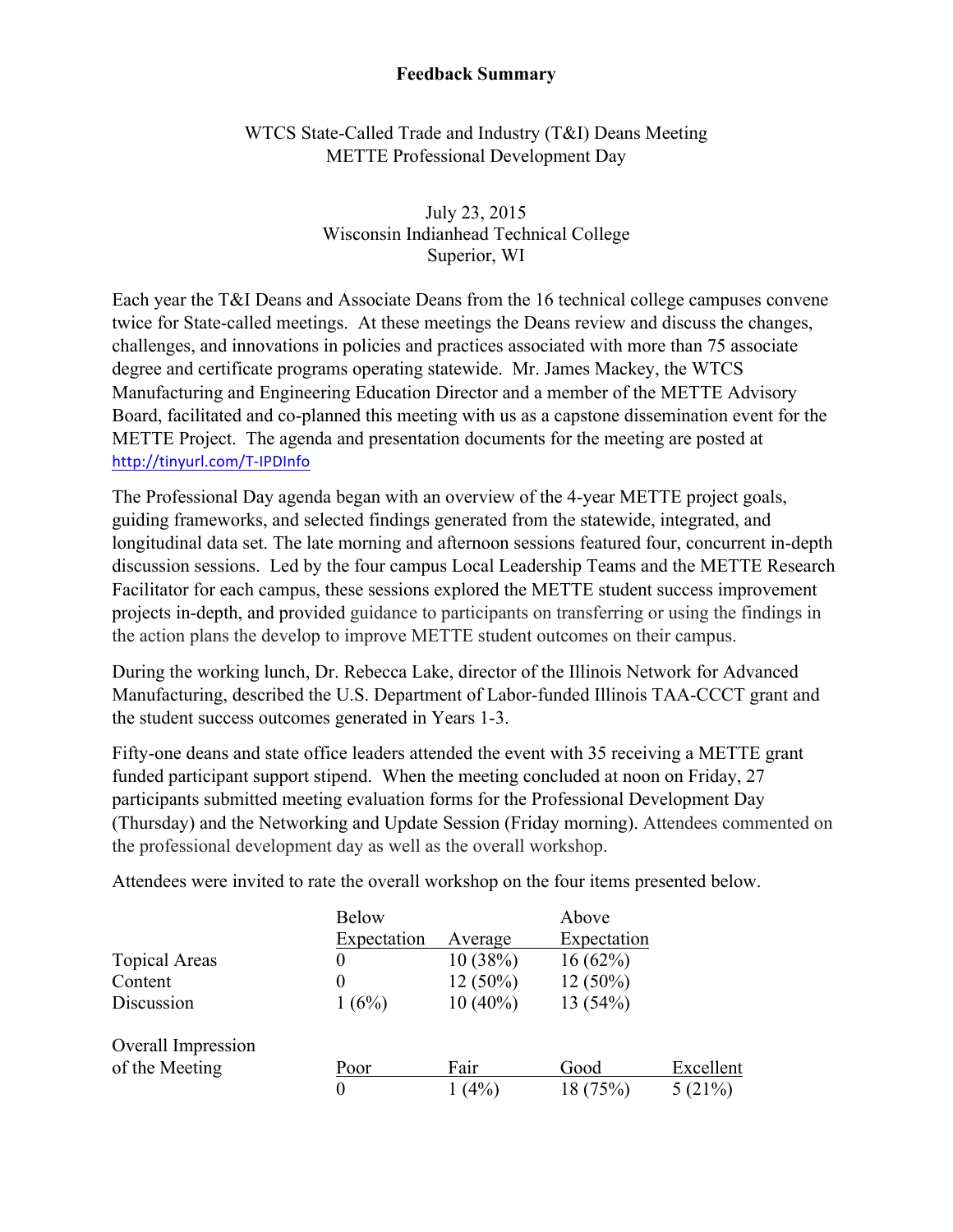## **Feedback Summary**

## WTCS State-Called Trade and Industry (T&I) Deans Meeting METTE Professional Development Day

## July 23, 2015 Wisconsin Indianhead Technical College Superior, WI

Each year the T&I Deans and Associate Deans from the 16 technical college campuses convene twice for State-called meetings. At these meetings the Deans review and discuss the changes, challenges, and innovations in policies and practices associated with more than 75 associate degree and certificate programs operating statewide. Mr. James Mackey, the WTCS Manufacturing and Engineering Education Director and a member of the METTE Advisory Board, facilitated and co-planned this meeting with us as a capstone dissemination event for the METTE Project. The agenda and presentation documents for the meeting are posted at http://tinyurl.com/T-IPDInfo

The Professional Day agenda began with an overview of the 4-year METTE project goals, guiding frameworks, and selected findings generated from the statewide, integrated, and longitudinal data set. The late morning and afternoon sessions featured four, concurrent in-depth discussion sessions. Led by the four campus Local Leadership Teams and the METTE Research Facilitator for each campus, these sessions explored the METTE student success improvement projects in-depth, and provided guidance to participants on transferring or using the findings in the action plans the develop to improve METTE student outcomes on their campus.

During the working lunch, Dr. Rebecca Lake, director of the Illinois Network for Advanced Manufacturing, described the U.S. Department of Labor-funded Illinois TAA-CCCT grant and the student success outcomes generated in Years 1-3.

Fifty-one deans and state office leaders attended the event with 35 receiving a METTE grant funded participant support stipend. When the meeting concluded at noon on Friday, 27 participants submitted meeting evaluation forms for the Professional Development Day (Thursday) and the Networking and Update Session (Friday morning). Attendees commented on the professional development day as well as the overall workshop.

Attendees were invited to rate the overall workshop on the four items presented below.

|                      | <b>Below</b> |            | Above       |           |
|----------------------|--------------|------------|-------------|-----------|
|                      | Expectation  | Average    | Expectation |           |
| <b>Topical Areas</b> |              | 10(38%)    | $16(62\%)$  |           |
| Content              |              | $12(50\%)$ | $12(50\%)$  |           |
| Discussion           | 1(6%)        | $10(40\%)$ | 13(54%)     |           |
| Overall Impression   |              |            |             |           |
| of the Meeting       | Poor         | Fair       | Good        | Excellent |
|                      | $\theta$     | $1(4\%)$   | 18(75%)     | 5(21%)    |